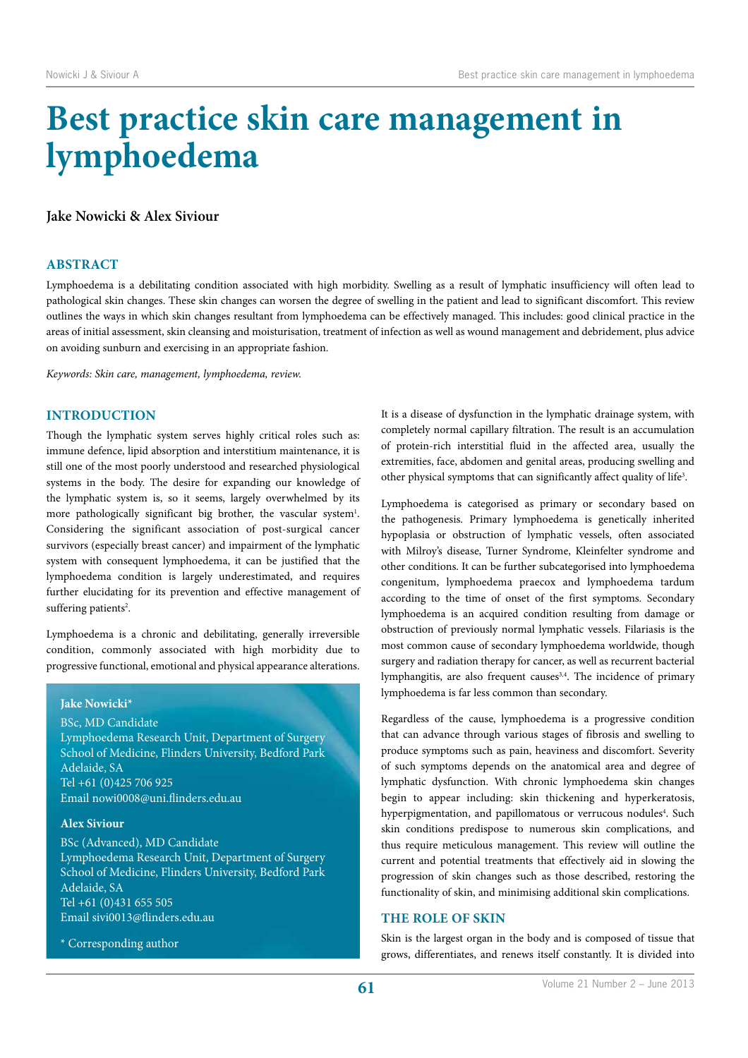# **Best practice skin care management in lymphoedema**

# **Jake Nowicki & Alex Siviour**

# **ABSTRACT**

Lymphoedema is a debilitating condition associated with high morbidity. Swelling as a result of lymphatic insufficiency will often lead to pathological skin changes. These skin changes can worsen the degree of swelling in the patient and lead to significant discomfort. This review outlines the ways in which skin changes resultant from lymphoedema can be effectively managed. This includes: good clinical practice in the areas of initial assessment, skin cleansing and moisturisation, treatment of infection as well as wound management and debridement, plus advice on avoiding sunburn and exercising in an appropriate fashion.

*Keywords: Skin care, management, lymphoedema, review.*

# **INTRODUCTION**

Though the lymphatic system serves highly critical roles such as: immune defence, lipid absorption and interstitium maintenance, it is still one of the most poorly understood and researched physiological systems in the body. The desire for expanding our knowledge of the lymphatic system is, so it seems, largely overwhelmed by its more pathologically significant big brother, the vascular system<sup>1</sup>. Considering the significant association of post-surgical cancer survivors (especially breast cancer) and impairment of the lymphatic system with consequent lymphoedema, it can be justified that the lymphoedema condition is largely underestimated, and requires further elucidating for its prevention and effective management of suffering patients<sup>2</sup>.

Lymphoedema is a chronic and debilitating, generally irreversible condition, commonly associated with high morbidity due to progressive functional, emotional and physical appearance alterations.

#### **Jake Nowicki\***

BSc, MD Candidate Lymphoedema Research Unit, Department of Surgery School of Medicine, Flinders University, Bedford Park Adelaide, SA Tel +61 (0)425 706 925 Email nowi0008@uni.flinders.edu.au

## **Alex Siviour**

BSc (Advanced), MD Candidate Lymphoedema Research Unit, Department of Surgery School of Medicine, Flinders University, Bedford Park Adelaide, SA Tel +61 (0)431 655 505 Email sivi0013@flinders.edu.au

\* Corresponding author

It is a disease of dysfunction in the lymphatic drainage system, with completely normal capillary filtration. The result is an accumulation of protein-rich interstitial fluid in the affected area, usually the extremities, face, abdomen and genital areas, producing swelling and other physical symptoms that can significantly affect quality of life<sup>3</sup>.

Lymphoedema is categorised as primary or secondary based on the pathogenesis. Primary lymphoedema is genetically inherited hypoplasia or obstruction of lymphatic vessels, often associated with Milroy's disease, Turner Syndrome, Kleinfelter syndrome and other conditions. It can be further subcategorised into lymphoedema congenitum, lymphoedema praecox and lymphoedema tardum according to the time of onset of the first symptoms. Secondary lymphoedema is an acquired condition resulting from damage or obstruction of previously normal lymphatic vessels. Filariasis is the most common cause of secondary lymphoedema worldwide, though surgery and radiation therapy for cancer, as well as recurrent bacterial lymphangitis, are also frequent causes<sup>3,4</sup>. The incidence of primary lymphoedema is far less common than secondary.

Regardless of the cause, lymphoedema is a progressive condition that can advance through various stages of fibrosis and swelling to produce symptoms such as pain, heaviness and discomfort. Severity of such symptoms depends on the anatomical area and degree of lymphatic dysfunction. With chronic lymphoedema skin changes begin to appear including: skin thickening and hyperkeratosis, hyperpigmentation, and papillomatous or verrucous nodules<sup>4</sup>. Such skin conditions predispose to numerous skin complications, and thus require meticulous management. This review will outline the current and potential treatments that effectively aid in slowing the progression of skin changes such as those described, restoring the functionality of skin, and minimising additional skin complications.

# **THE ROLE OF SKIN**

Skin is the largest organ in the body and is composed of tissue that grows, differentiates, and renews itself constantly. It is divided into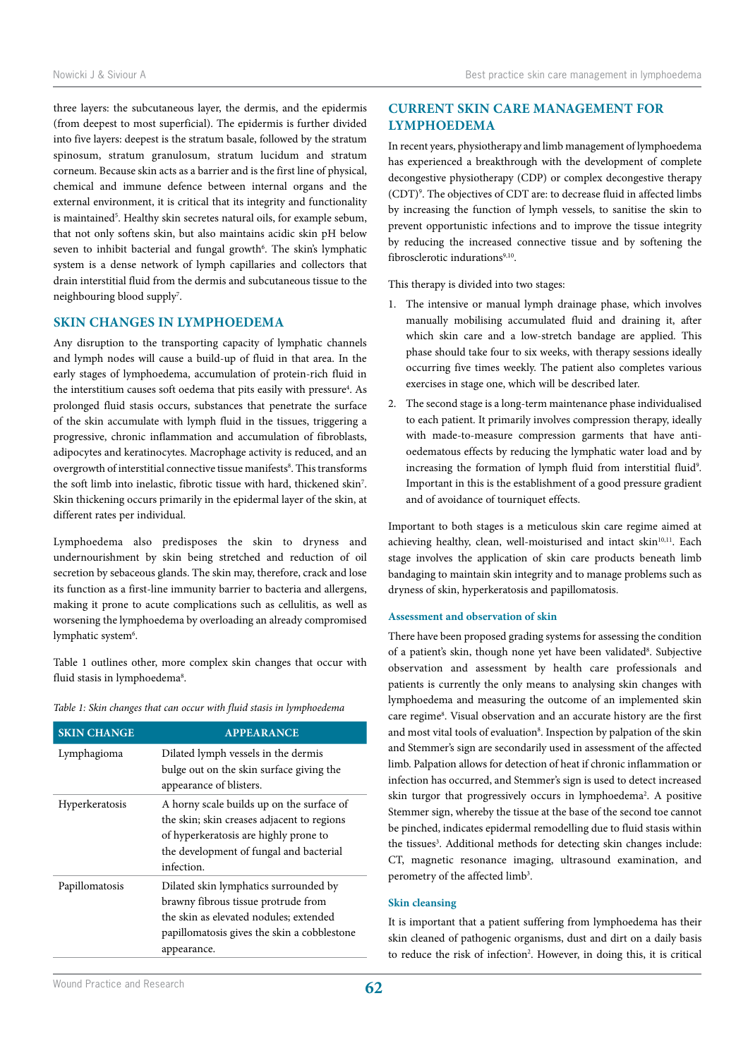three layers: the subcutaneous layer, the dermis, and the epidermis (from deepest to most superficial). The epidermis is further divided into five layers: deepest is the stratum basale, followed by the stratum spinosum, stratum granulosum, stratum lucidum and stratum corneum. Because skin acts as a barrier and is the first line of physical, chemical and immune defence between internal organs and the external environment, it is critical that its integrity and functionality is maintained<sup>5</sup>. Healthy skin secretes natural oils, for example sebum, that not only softens skin, but also maintains acidic skin pH below seven to inhibit bacterial and fungal growth<sup>6</sup>. The skin's lymphatic system is a dense network of lymph capillaries and collectors that drain interstitial fluid from the dermis and subcutaneous tissue to the neighbouring blood supply<sup>7</sup>.

# **SKIN CHANGES IN LYMPHOEDEMA**

Any disruption to the transporting capacity of lymphatic channels and lymph nodes will cause a build-up of fluid in that area. In the early stages of lymphoedema, accumulation of protein-rich fluid in the interstitium causes soft oedema that pits easily with pressure<sup>4</sup>. As prolonged fluid stasis occurs, substances that penetrate the surface of the skin accumulate with lymph fluid in the tissues, triggering a progressive, chronic inflammation and accumulation of fibroblasts, adipocytes and keratinocytes. Macrophage activity is reduced, and an overgrowth of interstitial connective tissue manifests<sup>8</sup>. This transforms the soft limb into inelastic, fibrotic tissue with hard, thickened skin<sup>7</sup>. Skin thickening occurs primarily in the epidermal layer of the skin, at different rates per individual.

Lymphoedema also predisposes the skin to dryness and undernourishment by skin being stretched and reduction of oil secretion by sebaceous glands. The skin may, therefore, crack and lose its function as a first-line immunity barrier to bacteria and allergens, making it prone to acute complications such as cellulitis, as well as worsening the lymphoedema by overloading an already compromised lymphatic system<sup>6</sup>.

Table 1 outlines other, more complex skin changes that occur with fluid stasis in lymphoedema<sup>8</sup>.

*Table 1: Skin changes that can occur with fluid stasis in lymphoedema*

| <b>SKIN CHANGE</b> | <b>APPEARANCE</b>                                                                                                                                                                         |
|--------------------|-------------------------------------------------------------------------------------------------------------------------------------------------------------------------------------------|
| Lymphagioma        | Dilated lymph vessels in the dermis<br>bulge out on the skin surface giving the<br>appearance of blisters.                                                                                |
| Hyperkeratosis     | A horny scale builds up on the surface of<br>the skin; skin creases adjacent to regions<br>of hyperkeratosis are highly prone to<br>the development of fungal and bacterial<br>infection. |
| Papillomatosis     | Dilated skin lymphatics surrounded by<br>brawny fibrous tissue protrude from<br>the skin as elevated nodules; extended<br>papillomatosis gives the skin a cobblestone<br>appearance.      |

# **CURRENT SKIN CARE MANAGEMENT FOR LYMPHOEDEMA**

In recent years, physiotherapy and limb management of lymphoedema has experienced a breakthrough with the development of complete decongestive physiotherapy (CDP) or complex decongestive therapy (CDT)9 . The objectives of CDT are: to decrease fluid in affected limbs by increasing the function of lymph vessels, to sanitise the skin to prevent opportunistic infections and to improve the tissue integrity by reducing the increased connective tissue and by softening the fibrosclerotic indurations<sup>9,10</sup>.

This therapy is divided into two stages:

- 1. The intensive or manual lymph drainage phase, which involves manually mobilising accumulated fluid and draining it, after which skin care and a low-stretch bandage are applied. This phase should take four to six weeks, with therapy sessions ideally occurring five times weekly. The patient also completes various exercises in stage one, which will be described later.
- 2. The second stage is a long-term maintenance phase individualised to each patient. It primarily involves compression therapy, ideally with made-to-measure compression garments that have antioedematous effects by reducing the lymphatic water load and by increasing the formation of lymph fluid from interstitial fluid<sup>9</sup>. Important in this is the establishment of a good pressure gradient and of avoidance of tourniquet effects.

Important to both stages is a meticulous skin care regime aimed at achieving healthy, clean, well-moisturised and intact skin<sup>10,11</sup>. Each stage involves the application of skin care products beneath limb bandaging to maintain skin integrity and to manage problems such as dryness of skin, hyperkeratosis and papillomatosis.

#### **Assessment and observation of skin**

There have been proposed grading systems for assessing the condition of a patient's skin, though none yet have been validated<sup>8</sup>. Subjective observation and assessment by health care professionals and patients is currently the only means to analysing skin changes with lymphoedema and measuring the outcome of an implemented skin care regime<sup>8</sup>. Visual observation and an accurate history are the first and most vital tools of evaluation<sup>8</sup>. Inspection by palpation of the skin and Stemmer's sign are secondarily used in assessment of the affected limb. Palpation allows for detection of heat if chronic inflammation or infection has occurred, and Stemmer's sign is used to detect increased skin turgor that progressively occurs in lymphoedema<sup>2</sup>. A positive Stemmer sign, whereby the tissue at the base of the second toe cannot be pinched, indicates epidermal remodelling due to fluid stasis within the tissues<sup>3</sup>. Additional methods for detecting skin changes include: CT, magnetic resonance imaging, ultrasound examination, and perometry of the affected limb<sup>3</sup>.

## **Skin cleansing**

It is important that a patient suffering from lymphoedema has their skin cleaned of pathogenic organisms, dust and dirt on a daily basis to reduce the risk of infection<sup>2</sup>. However, in doing this, it is critical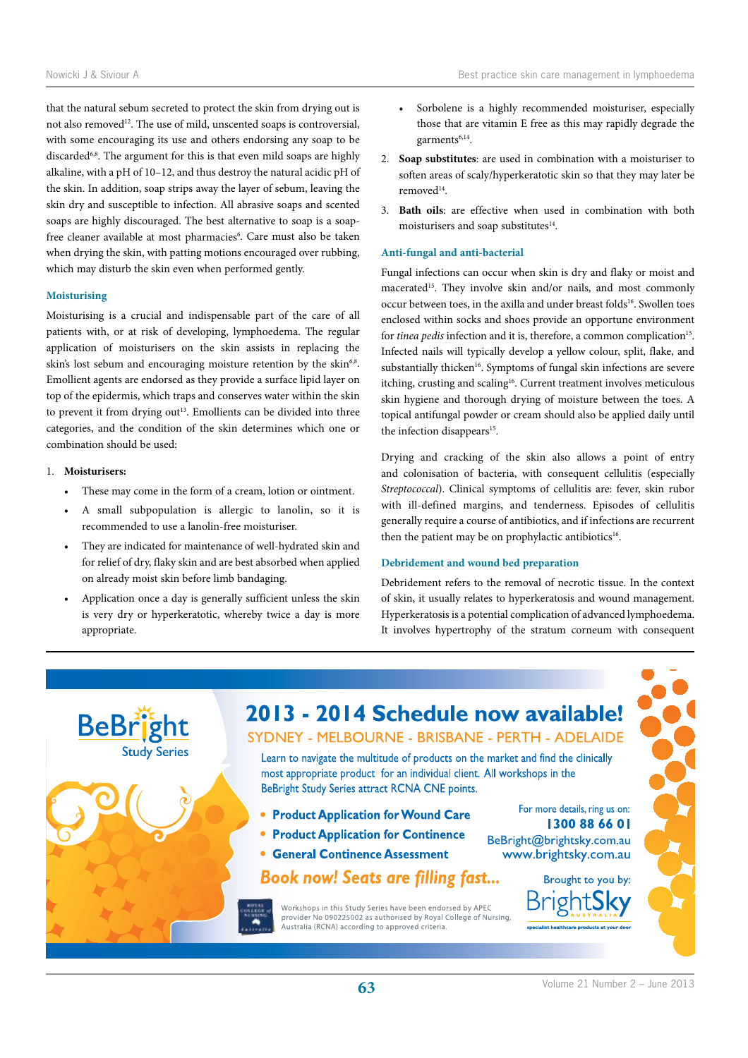that the natural sebum secreted to protect the skin from drying out is not also removed<sup>12</sup>. The use of mild, unscented soaps is controversial, with some encouraging its use and others endorsing any soap to be discarded<sup>6,8</sup>. The argument for this is that even mild soaps are highly alkaline, with a pH of 10–12, and thus destroy the natural acidic pH of the skin. In addition, soap strips away the layer of sebum, leaving the skin dry and susceptible to infection. All abrasive soaps and scented soaps are highly discouraged. The best alternative to soap is a soapfree cleaner available at most pharmacies<sup>6</sup>. Care must also be taken when drying the skin, with patting motions encouraged over rubbing, which may disturb the skin even when performed gently.

#### **Moisturising**

Moisturising is a crucial and indispensable part of the care of all patients with, or at risk of developing, lymphoedema. The regular application of moisturisers on the skin assists in replacing the skin's lost sebum and encouraging moisture retention by the skin<sup>6,8</sup>. Emollient agents are endorsed as they provide a surface lipid layer on top of the epidermis, which traps and conserves water within the skin to prevent it from drying out<sup>13</sup>. Emollients can be divided into three categories, and the condition of the skin determines which one or combination should be used:

#### 1. **Moisturisers:**

- These may come in the form of a cream, lotion or ointment.
- A small subpopulation is allergic to lanolin, so it is recommended to use a lanolin-free moisturiser.
- They are indicated for maintenance of well-hydrated skin and for relief of dry, flaky skin and are best absorbed when applied on already moist skin before limb bandaging.
- Application once a day is generally sufficient unless the skin is very dry or hyperkeratotic, whereby twice a day is more appropriate.
- Sorbolene is a highly recommended moisturiser, especially those that are vitamin E free as this may rapidly degrade the garments<sup>6,14</sup>.
- 2. **Soap substitutes**: are used in combination with a moisturiser to soften areas of scaly/hyperkeratotic skin so that they may later be removed14.
- 3. **Bath oils**: are effective when used in combination with both moisturisers and soap substitutes<sup>14</sup>.

## **Anti-fungal and anti-bacterial**

Fungal infections can occur when skin is dry and flaky or moist and macerated<sup>15</sup>. They involve skin and/or nails, and most commonly occur between toes, in the axilla and under breast folds<sup>16</sup>. Swollen toes enclosed within socks and shoes provide an opportune environment for *tinea pedis* infection and it is, therefore, a common complication<sup>15</sup>. Infected nails will typically develop a yellow colour, split, flake, and substantially thicken<sup>16</sup>. Symptoms of fungal skin infections are severe itching, crusting and scaling<sup>16</sup>. Current treatment involves meticulous skin hygiene and thorough drying of moisture between the toes. A topical antifungal powder or cream should also be applied daily until the infection disappears<sup>15</sup>.

Drying and cracking of the skin also allows a point of entry and colonisation of bacteria, with consequent cellulitis (especially *Streptococcal*). Clinical symptoms of cellulitis are: fever, skin rubor with ill-defined margins, and tenderness. Episodes of cellulitis generally require a course of antibiotics, and if infections are recurrent then the patient may be on prophylactic antibiotics<sup>16</sup>.

# **Debridement and wound bed preparation**

Debridement refers to the removal of necrotic tissue. In the context of skin, it usually relates to hyperkeratosis and wound management. Hyperkeratosis is a potential complication of advanced lymphoedema. It involves hypertrophy of the stratum corneum with consequent

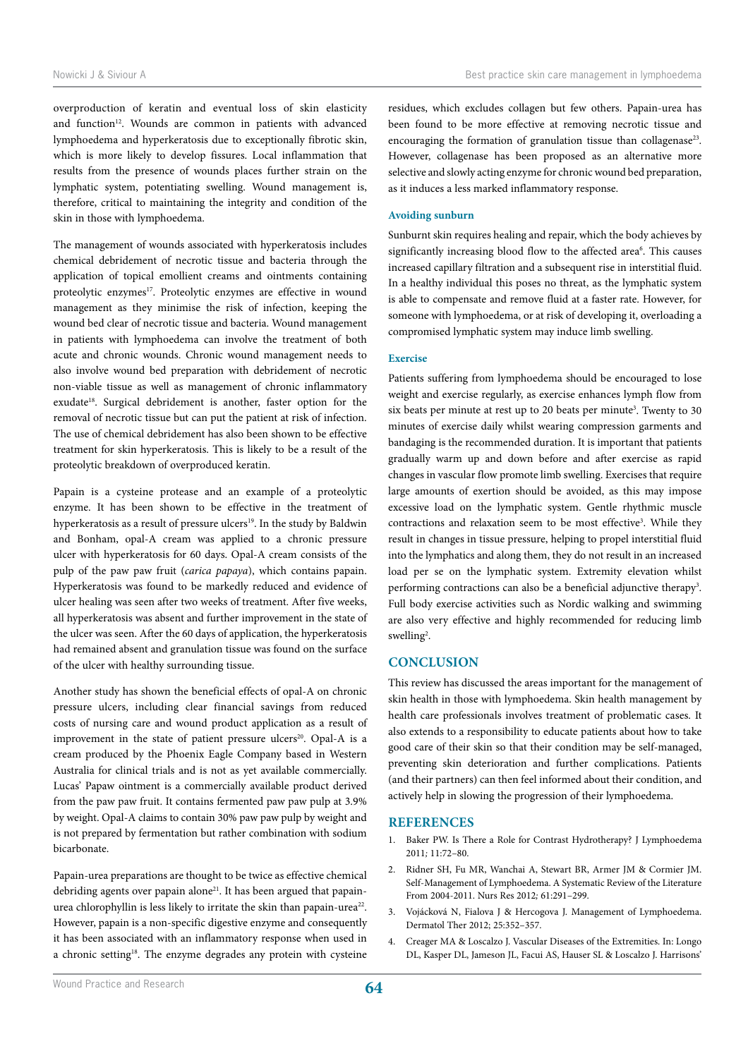overproduction of keratin and eventual loss of skin elasticity and function<sup>12</sup>. Wounds are common in patients with advanced lymphoedema and hyperkeratosis due to exceptionally fibrotic skin, which is more likely to develop fissures. Local inflammation that results from the presence of wounds places further strain on the lymphatic system, potentiating swelling. Wound management is, therefore, critical to maintaining the integrity and condition of the skin in those with lymphoedema.

The management of wounds associated with hyperkeratosis includes chemical debridement of necrotic tissue and bacteria through the application of topical emollient creams and ointments containing proteolytic enzymes<sup>17</sup>. Proteolytic enzymes are effective in wound management as they minimise the risk of infection, keeping the wound bed clear of necrotic tissue and bacteria. Wound management in patients with lymphoedema can involve the treatment of both acute and chronic wounds. Chronic wound management needs to also involve wound bed preparation with debridement of necrotic non-viable tissue as well as management of chronic inflammatory exudate18. Surgical debridement is another, faster option for the removal of necrotic tissue but can put the patient at risk of infection. The use of chemical debridement has also been shown to be effective treatment for skin hyperkeratosis. This is likely to be a result of the proteolytic breakdown of overproduced keratin.

Papain is a cysteine protease and an example of a proteolytic enzyme. It has been shown to be effective in the treatment of hyperkeratosis as a result of pressure ulcers<sup>19</sup>. In the study by Baldwin and Bonham, opal-A cream was applied to a chronic pressure ulcer with hyperkeratosis for 60 days. Opal-A cream consists of the pulp of the paw paw fruit (*carica papaya*), which contains papain. Hyperkeratosis was found to be markedly reduced and evidence of ulcer healing was seen after two weeks of treatment. After five weeks, all hyperkeratosis was absent and further improvement in the state of the ulcer was seen. After the 60 days of application, the hyperkeratosis had remained absent and granulation tissue was found on the surface of the ulcer with healthy surrounding tissue.

Another study has shown the beneficial effects of opal-A on chronic pressure ulcers, including clear financial savings from reduced costs of nursing care and wound product application as a result of improvement in the state of patient pressure ulcers<sup>20</sup>. Opal-A is a cream produced by the Phoenix Eagle Company based in Western Australia for clinical trials and is not as yet available commercially. Lucas' Papaw ointment is a commercially available product derived from the paw paw fruit. It contains fermented paw paw pulp at 3.9% by weight. Opal-A claims to contain 30% paw paw pulp by weight and is not prepared by fermentation but rather combination with sodium bicarbonate.

Papain-urea preparations are thought to be twice as effective chemical debriding agents over papain alone<sup>21</sup>. It has been argued that papainurea chlorophyllin is less likely to irritate the skin than papain-urea<sup>22</sup>. However, papain is a non-specific digestive enzyme and consequently it has been associated with an inflammatory response when used in a chronic setting<sup>18</sup>. The enzyme degrades any protein with cysteine residues, which excludes collagen but few others. Papain-urea has been found to be more effective at removing necrotic tissue and encouraging the formation of granulation tissue than collagenase<sup>23</sup>. However, collagenase has been proposed as an alternative more selective and slowly acting enzyme for chronic wound bed preparation, as it induces a less marked inflammatory response.

#### **Avoiding sunburn**

Sunburnt skin requires healing and repair, which the body achieves by significantly increasing blood flow to the affected area<sup>6</sup>. This causes increased capillary filtration and a subsequent rise in interstitial fluid. In a healthy individual this poses no threat, as the lymphatic system is able to compensate and remove fluid at a faster rate. However, for someone with lymphoedema, or at risk of developing it, overloading a compromised lymphatic system may induce limb swelling.

#### **Exercise**

Patients suffering from lymphoedema should be encouraged to lose weight and exercise regularly, as exercise enhances lymph flow from six beats per minute at rest up to 20 beats per minute<sup>3</sup>. Twenty to 30 minutes of exercise daily whilst wearing compression garments and bandaging is the recommended duration. It is important that patients gradually warm up and down before and after exercise as rapid changes in vascular flow promote limb swelling. Exercises that require large amounts of exertion should be avoided, as this may impose excessive load on the lymphatic system. Gentle rhythmic muscle contractions and relaxation seem to be most effective<sup>3</sup>. While they result in changes in tissue pressure, helping to propel interstitial fluid into the lymphatics and along them, they do not result in an increased load per se on the lymphatic system. Extremity elevation whilst performing contractions can also be a beneficial adjunctive therapy<sup>3</sup>. Full body exercise activities such as Nordic walking and swimming are also very effective and highly recommended for reducing limb swelling<sup>2</sup>.

## **CONCLUSION**

This review has discussed the areas important for the management of skin health in those with lymphoedema. Skin health management by health care professionals involves treatment of problematic cases. It also extends to a responsibility to educate patients about how to take good care of their skin so that their condition may be self-managed, preventing skin deterioration and further complications. Patients (and their partners) can then feel informed about their condition, and actively help in slowing the progression of their lymphoedema.

## **REFERENCES**

- 1. Baker PW. Is There a Role for Contrast Hydrotherapy? J Lymphoedema 2011*;* 11:72–80.
- 2. Ridner SH, Fu MR, Wanchai A, Stewart BR, Armer JM & Cormier JM. Self-Management of Lymphoedema. A Systematic Review of the Literature From 2004-2011. Nurs Res 2012*;* 61:291–299.
- 3. Vojácková N, Fialova J & Hercogova J. Management of Lymphoedema. Dermatol Ther 2012; 25:352–357.
- 4. Creager MA & Loscalzo J. Vascular Diseases of the Extremities. In: Longo DL, Kasper DL, Jameson JL, Facui AS, Hauser SL & Loscalzo J. Harrisons'